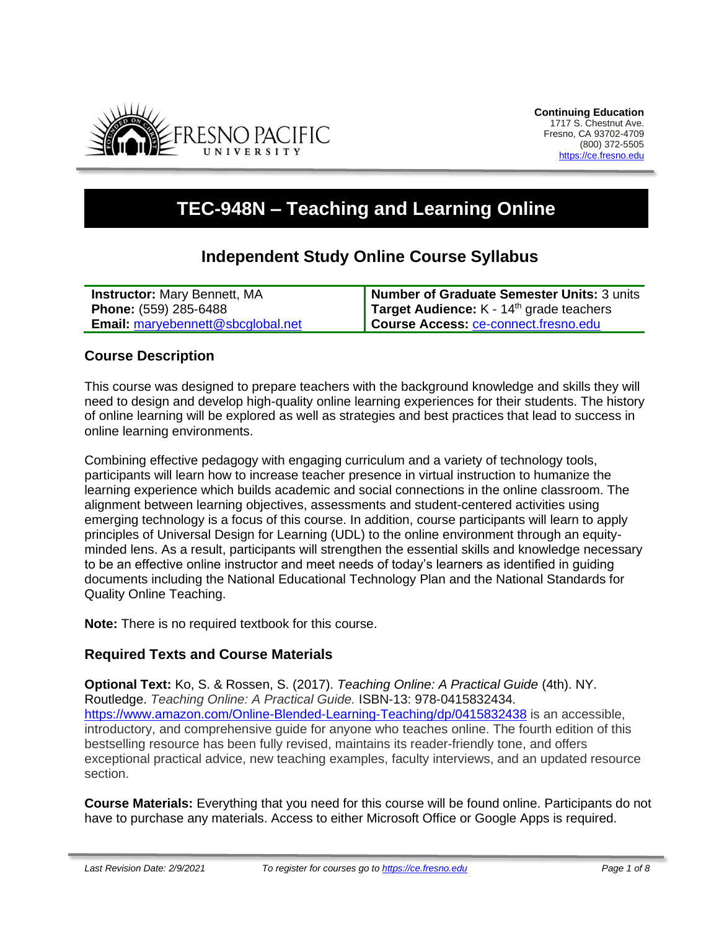

# **TEC-948N – Teaching and Learning Online**

## **Independent Study Online Course Syllabus**

| <b>Instructor: Mary Bennett, MA</b>      | Number of Graduate Semester Units: 3 units           |
|------------------------------------------|------------------------------------------------------|
| <b>Phone:</b> (559) 285-6488             | Target Audience: K - 14 <sup>th</sup> grade teachers |
| <b>Email:</b> maryebennett@sbcglobal.net | Course Access: ce-connect.fresno.edu                 |

#### **Course Description**

This course was designed to prepare teachers with the background knowledge and skills they will need to design and develop high-quality online learning experiences for their students. The history of online learning will be explored as well as strategies and best practices that lead to success in online learning environments.

Combining effective pedagogy with engaging curriculum and a variety of technology tools, participants will learn how to increase teacher presence in virtual instruction to humanize the learning experience which builds academic and social connections in the online classroom. The alignment between learning objectives, assessments and student-centered activities using emerging technology is a focus of this course. In addition, course participants will learn to apply principles of Universal Design for Learning (UDL) to the online environment through an equityminded lens. As a result, participants will strengthen the essential skills and knowledge necessary to be an effective online instructor and meet needs of today's learners as identified in guiding documents including the National Educational Technology Plan and the National Standards for Quality Online Teaching.

**Note:** There is no required textbook for this course.

## **Required Texts and Course Materials**

**Optional Text:** Ko, S. & Rossen, S. (2017). *Teaching Online: A Practical Guide* (4th). NY. Routledge. *Teaching Online: A Practical Guide.* ISBN-13: 978-0415832434. <https://www.amazon.com/Online-Blended-Learning-Teaching/dp/0415832438> is an accessible, introductory, and comprehensive guide for anyone who teaches online. The fourth edition of this bestselling resource has been fully revised, maintains its reader-friendly tone, and offers exceptional practical advice, new teaching examples, faculty interviews, and an updated resource section.

**Course Materials:** Everything that you need for this course will be found online. Participants do not have to purchase any materials. Access to either Microsoft Office or Google Apps is required.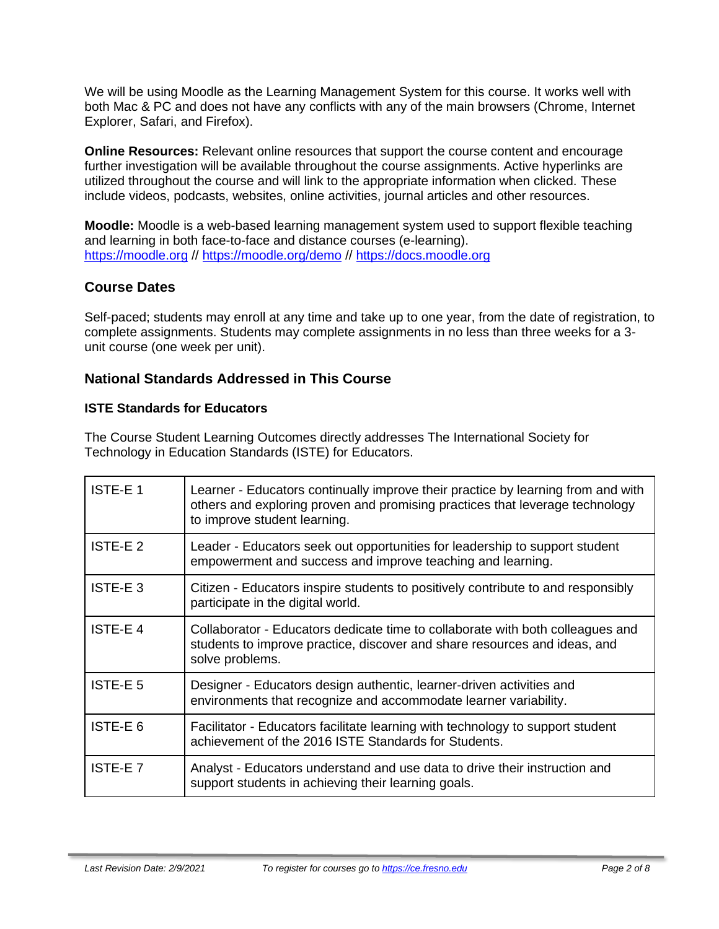We will be using Moodle as the Learning Management System for this course. It works well with both Mac & PC and does not have any conflicts with any of the main browsers (Chrome, Internet Explorer, Safari, and Firefox).

**Online Resources:** Relevant online resources that support the course content and encourage further investigation will be available throughout the course assignments. Active hyperlinks are utilized throughout the course and will link to the appropriate information when clicked. These include videos, podcasts, websites, online activities, journal articles and other resources.

**Moodle:** Moodle is a web-based learning management system used to support flexible teaching and learning in both face-to-face and distance courses (e-learning). [https://moodle.org](https://moodle.org/) //<https://moodle.org/demo> // [https://docs.moodle.org](https://docs.moodle.org/)

## **Course Dates**

Self-paced; students may enroll at any time and take up to one year, from the date of registration, to complete assignments. Students may complete assignments in no less than three weeks for a 3 unit course (one week per unit).

## **National Standards Addressed in This Course**

#### **ISTE Standards for Educators**

The Course Student Learning Outcomes directly addresses The International Society for Technology in Education Standards (ISTE) for Educators.

| ISTE-E 1       | Learner - Educators continually improve their practice by learning from and with<br>others and exploring proven and promising practices that leverage technology<br>to improve student learning. |
|----------------|--------------------------------------------------------------------------------------------------------------------------------------------------------------------------------------------------|
| ISTE-E 2       | Leader - Educators seek out opportunities for leadership to support student<br>empowerment and success and improve teaching and learning.                                                        |
| ISTE-E3        | Citizen - Educators inspire students to positively contribute to and responsibly<br>participate in the digital world.                                                                            |
| <b>ISTE-E4</b> | Collaborator - Educators dedicate time to collaborate with both colleagues and<br>students to improve practice, discover and share resources and ideas, and<br>solve problems.                   |
| <b>ISTE-E5</b> | Designer - Educators design authentic, learner-driven activities and<br>environments that recognize and accommodate learner variability.                                                         |
| ISTE-E 6       | Facilitator - Educators facilitate learning with technology to support student<br>achievement of the 2016 ISTE Standards for Students.                                                           |
| <b>ISTE-E7</b> | Analyst - Educators understand and use data to drive their instruction and<br>support students in achieving their learning goals.                                                                |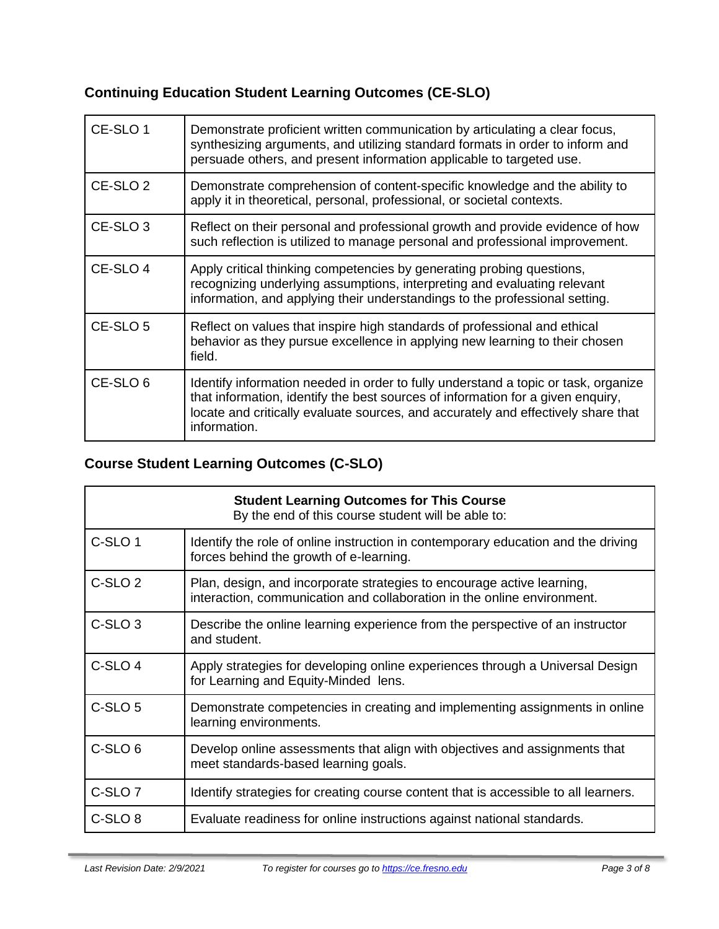## **Continuing Education Student Learning Outcomes (CE-SLO)**

| CE-SLO 1            | Demonstrate proficient written communication by articulating a clear focus,<br>synthesizing arguments, and utilizing standard formats in order to inform and<br>persuade others, and present information applicable to targeted use.                                       |
|---------------------|----------------------------------------------------------------------------------------------------------------------------------------------------------------------------------------------------------------------------------------------------------------------------|
| CE-SLO <sub>2</sub> | Demonstrate comprehension of content-specific knowledge and the ability to<br>apply it in theoretical, personal, professional, or societal contexts.                                                                                                                       |
| CE-SLO <sub>3</sub> | Reflect on their personal and professional growth and provide evidence of how<br>such reflection is utilized to manage personal and professional improvement.                                                                                                              |
| CE-SLO 4            | Apply critical thinking competencies by generating probing questions,<br>recognizing underlying assumptions, interpreting and evaluating relevant<br>information, and applying their understandings to the professional setting.                                           |
| CE-SLO <sub>5</sub> | Reflect on values that inspire high standards of professional and ethical<br>behavior as they pursue excellence in applying new learning to their chosen<br>field.                                                                                                         |
| CE-SLO <sub>6</sub> | Identify information needed in order to fully understand a topic or task, organize<br>that information, identify the best sources of information for a given enquiry,<br>locate and critically evaluate sources, and accurately and effectively share that<br>information. |

## **Course Student Learning Outcomes (C-SLO)**

| <b>Student Learning Outcomes for This Course</b><br>By the end of this course student will be able to: |                                                                                                                                                   |
|--------------------------------------------------------------------------------------------------------|---------------------------------------------------------------------------------------------------------------------------------------------------|
| C-SLO <sub>1</sub>                                                                                     | Identify the role of online instruction in contemporary education and the driving<br>forces behind the growth of e-learning.                      |
| C-SLO <sub>2</sub>                                                                                     | Plan, design, and incorporate strategies to encourage active learning,<br>interaction, communication and collaboration in the online environment. |
| C-SLO <sub>3</sub>                                                                                     | Describe the online learning experience from the perspective of an instructor<br>and student.                                                     |
| C-SLO <sub>4</sub>                                                                                     | Apply strategies for developing online experiences through a Universal Design<br>for Learning and Equity-Minded lens.                             |
| C-SLO <sub>5</sub>                                                                                     | Demonstrate competencies in creating and implementing assignments in online<br>learning environments.                                             |
| C-SLO <sub>6</sub>                                                                                     | Develop online assessments that align with objectives and assignments that<br>meet standards-based learning goals.                                |
| C-SLO <sub>7</sub>                                                                                     | Identify strategies for creating course content that is accessible to all learners.                                                               |
| C-SLO <sub>8</sub>                                                                                     | Evaluate readiness for online instructions against national standards.                                                                            |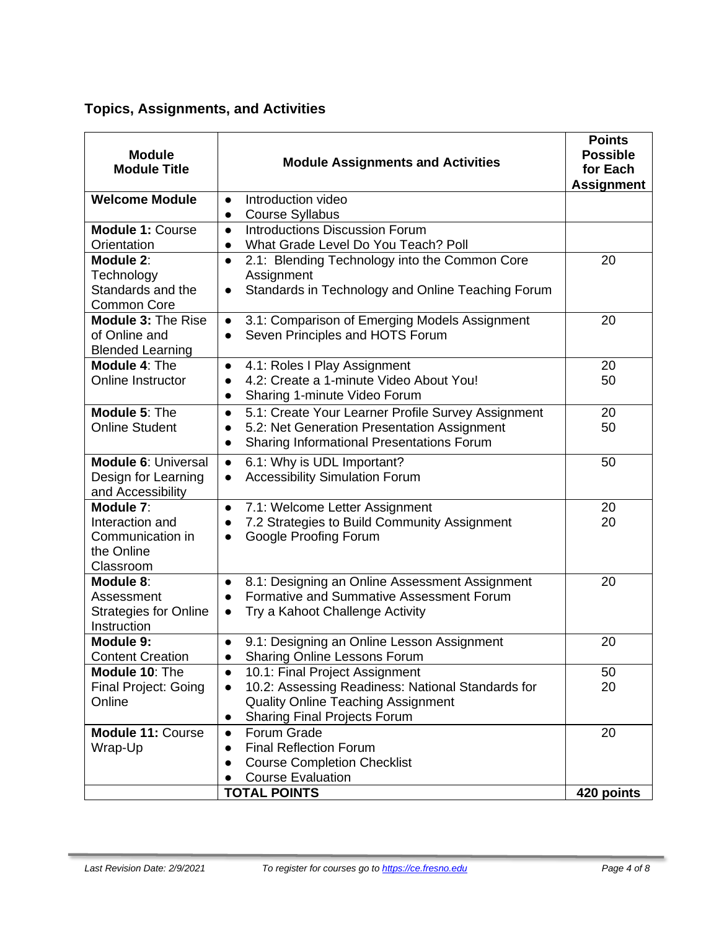## **Topics, Assignments, and Activities**

| <b>Module</b><br><b>Module Title</b>                                        | <b>Module Assignments and Activities</b>                                                                                                                                                                       | <b>Points</b><br><b>Possible</b><br>for Each<br><b>Assignment</b> |
|-----------------------------------------------------------------------------|----------------------------------------------------------------------------------------------------------------------------------------------------------------------------------------------------------------|-------------------------------------------------------------------|
| <b>Welcome Module</b>                                                       | Introduction video<br>$\bullet$<br><b>Course Syllabus</b><br>$\bullet$                                                                                                                                         |                                                                   |
| <b>Module 1: Course</b><br>Orientation                                      | <b>Introductions Discussion Forum</b><br>$\bullet$<br>What Grade Level Do You Teach? Poll<br>$\bullet$                                                                                                         |                                                                   |
| Module 2:<br>Technology<br>Standards and the<br><b>Common Core</b>          | 2.1: Blending Technology into the Common Core<br>$\bullet$<br>Assignment<br>Standards in Technology and Online Teaching Forum                                                                                  | 20                                                                |
| <b>Module 3: The Rise</b><br>of Online and<br><b>Blended Learning</b>       | 3.1: Comparison of Emerging Models Assignment<br>$\bullet$<br>Seven Principles and HOTS Forum<br>$\bullet$                                                                                                     | 20                                                                |
| Module 4: The<br>Online Instructor                                          | 4.1: Roles I Play Assignment<br>$\bullet$<br>4.2: Create a 1-minute Video About You!<br>Sharing 1-minute Video Forum<br>$\bullet$                                                                              | 20<br>50                                                          |
| Module 5: The<br><b>Online Student</b>                                      | 5.1: Create Your Learner Profile Survey Assignment<br>$\bullet$<br>5.2: Net Generation Presentation Assignment<br>$\bullet$<br><b>Sharing Informational Presentations Forum</b><br>$\bullet$                   | 20<br>50                                                          |
| <b>Module 6: Universal</b><br>Design for Learning<br>and Accessibility      | 6.1: Why is UDL Important?<br>$\bullet$<br><b>Accessibility Simulation Forum</b><br>$\bullet$                                                                                                                  | 50                                                                |
| Module 7:<br>Interaction and<br>Communication in<br>the Online<br>Classroom | 7.1: Welcome Letter Assignment<br>$\bullet$<br>7.2 Strategies to Build Community Assignment<br><b>Google Proofing Forum</b>                                                                                    | 20<br>20                                                          |
| Module 8:<br>Assessment<br><b>Strategies for Online</b><br>Instruction      | 8.1: Designing an Online Assessment Assignment<br>$\bullet$<br>Formative and Summative Assessment Forum<br>$\bullet$<br>Try a Kahoot Challenge Activity<br>$\bullet$                                           | 20                                                                |
| Module 9:<br><b>Content Creation</b>                                        | 9.1: Designing an Online Lesson Assignment<br>Sharing Online Lessons Forum<br>$\bullet$                                                                                                                        | 20                                                                |
| Module 10: The<br><b>Final Project: Going</b><br>Online                     | 10.1: Final Project Assignment<br>$\bullet$<br>10.2: Assessing Readiness: National Standards for<br>$\bullet$<br><b>Quality Online Teaching Assignment</b><br><b>Sharing Final Projects Forum</b><br>$\bullet$ | 50<br>20                                                          |
| <b>Module 11: Course</b><br>Wrap-Up                                         | <b>Forum Grade</b><br>$\bullet$<br><b>Final Reflection Forum</b><br><b>Course Completion Checklist</b><br><b>Course Evaluation</b><br><b>TOTAL POINTS</b>                                                      | 20<br>420 points                                                  |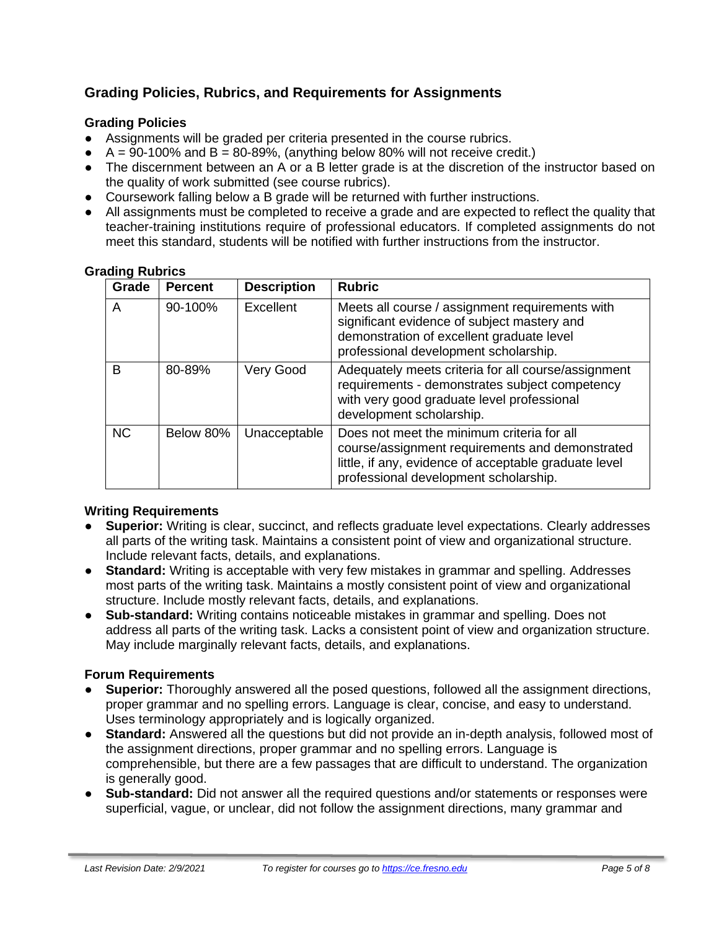## **Grading Policies, Rubrics, and Requirements for Assignments**

### **Grading Policies**

- Assignments will be graded per criteria presented in the course rubrics.
- $\bullet$  A = 90-100% and B = 80-89%, (anything below 80% will not receive credit.)
- The discernment between an A or a B letter grade is at the discretion of the instructor based on the quality of work submitted (see course rubrics).
- Coursework falling below a B grade will be returned with further instructions.
- All assignments must be completed to receive a grade and are expected to reflect the quality that teacher-training institutions require of professional educators. If completed assignments do not meet this standard, students will be notified with further instructions from the instructor.

#### **Grading Rubrics**

| Grade     | <b>Percent</b> | <b>Description</b> | <b>Rubric</b>                                                                                                                                                                                   |
|-----------|----------------|--------------------|-------------------------------------------------------------------------------------------------------------------------------------------------------------------------------------------------|
| A         | 90-100%        | <b>Excellent</b>   | Meets all course / assignment requirements with<br>significant evidence of subject mastery and<br>demonstration of excellent graduate level<br>professional development scholarship.            |
| в         | 80-89%         | Very Good          | Adequately meets criteria for all course/assignment<br>requirements - demonstrates subject competency<br>with very good graduate level professional<br>development scholarship.                 |
| <b>NC</b> | Below 80%      | Unacceptable       | Does not meet the minimum criteria for all<br>course/assignment requirements and demonstrated<br>little, if any, evidence of acceptable graduate level<br>professional development scholarship. |

#### **Writing Requirements**

- **Superior:** Writing is clear, succinct, and reflects graduate level expectations. Clearly addresses all parts of the writing task. Maintains a consistent point of view and organizational structure. Include relevant facts, details, and explanations.
- **Standard:** Writing is acceptable with very few mistakes in grammar and spelling. Addresses most parts of the writing task. Maintains a mostly consistent point of view and organizational structure. Include mostly relevant facts, details, and explanations.
- **Sub-standard:** Writing contains noticeable mistakes in grammar and spelling. Does not address all parts of the writing task. Lacks a consistent point of view and organization structure. May include marginally relevant facts, details, and explanations.

#### **Forum Requirements**

- **Superior:** Thoroughly answered all the posed questions, followed all the assignment directions, proper grammar and no spelling errors. Language is clear, concise, and easy to understand. Uses terminology appropriately and is logically organized.
- **Standard:** Answered all the questions but did not provide an in-depth analysis, followed most of the assignment directions, proper grammar and no spelling errors. Language is comprehensible, but there are a few passages that are difficult to understand. The organization is generally good.
- **Sub-standard:** Did not answer all the required questions and/or statements or responses were superficial, vague, or unclear, did not follow the assignment directions, many grammar and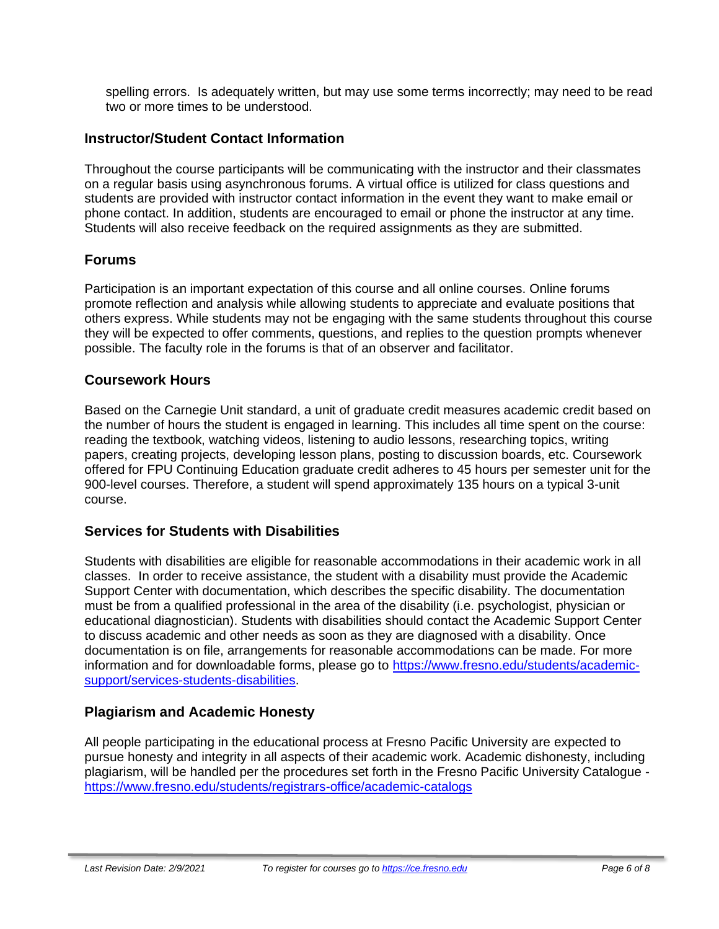spelling errors. Is adequately written, but may use some terms incorrectly; may need to be read two or more times to be understood.

## **Instructor/Student Contact Information**

Throughout the course participants will be communicating with the instructor and their classmates on a regular basis using asynchronous forums. A virtual office is utilized for class questions and students are provided with instructor contact information in the event they want to make email or phone contact. In addition, students are encouraged to email or phone the instructor at any time. Students will also receive feedback on the required assignments as they are submitted.

## **Forums**

Participation is an important expectation of this course and all online courses. Online forums promote reflection and analysis while allowing students to appreciate and evaluate positions that others express. While students may not be engaging with the same students throughout this course they will be expected to offer comments, questions, and replies to the question prompts whenever possible. The faculty role in the forums is that of an observer and facilitator.

## **Coursework Hours**

Based on the Carnegie Unit standard, a unit of graduate credit measures academic credit based on the number of hours the student is engaged in learning. This includes all time spent on the course: reading the textbook, watching videos, listening to audio lessons, researching topics, writing papers, creating projects, developing lesson plans, posting to discussion boards, etc. Coursework offered for FPU Continuing Education graduate credit adheres to 45 hours per semester unit for the 900-level courses. Therefore, a student will spend approximately 135 hours on a typical 3-unit course.

## **Services for Students with Disabilities**

Students with disabilities are eligible for reasonable accommodations in their academic work in all classes. In order to receive assistance, the student with a disability must provide the Academic Support Center with documentation, which describes the specific disability. The documentation must be from a qualified professional in the area of the disability (i.e. psychologist, physician or educational diagnostician). Students with disabilities should contact the Academic Support Center to discuss academic and other needs as soon as they are diagnosed with a disability. Once documentation is on file, arrangements for reasonable accommodations can be made. For more information and for downloadable forms, please go to [https://www.fresno.edu/students/academic](https://www.fresno.edu/students/academic-support/services-students-disabilities)[support/services-students-disabilities.](https://www.fresno.edu/students/academic-support/services-students-disabilities)

## **Plagiarism and Academic Honesty**

All people participating in the educational process at Fresno Pacific University are expected to pursue honesty and integrity in all aspects of their academic work. Academic dishonesty, including plagiarism, will be handled per the procedures set forth in the Fresno Pacific University Catalogue <https://www.fresno.edu/students/registrars-office/academic-catalogs>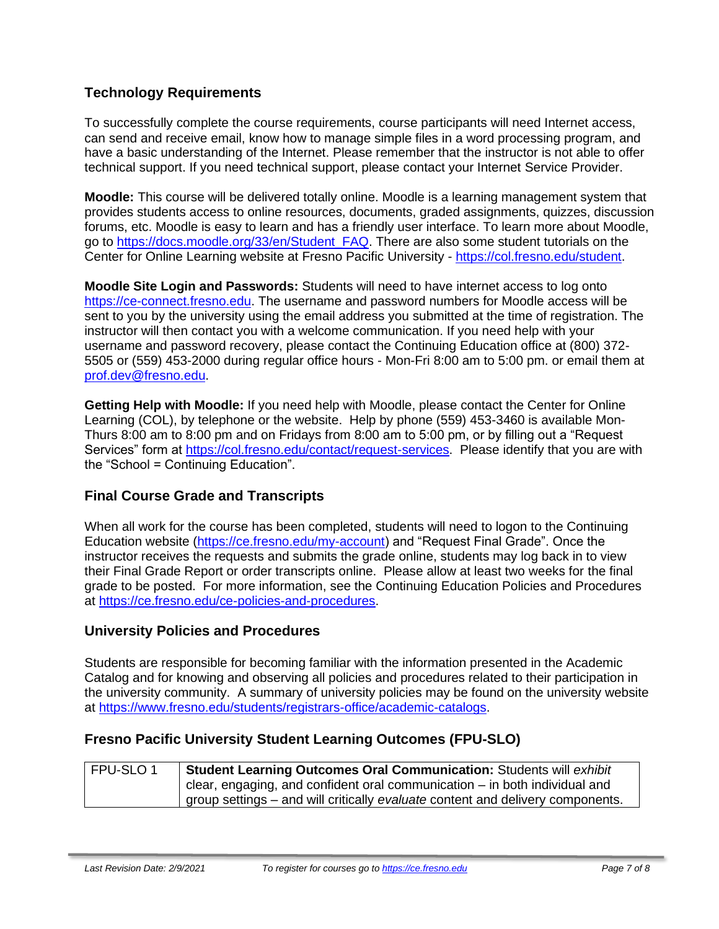## **Technology Requirements**

To successfully complete the course requirements, course participants will need Internet access, can send and receive email, know how to manage simple files in a word processing program, and have a basic understanding of the Internet. Please remember that the instructor is not able to offer technical support. If you need technical support, please contact your Internet Service Provider.

**Moodle:** This course will be delivered totally online. Moodle is a learning management system that provides students access to online resources, documents, graded assignments, quizzes, discussion forums, etc. Moodle is easy to learn and has a friendly user interface. To learn more about Moodle, go to [https://docs.moodle.org/33/en/Student\\_FAQ.](https://docs.moodle.org/33/en/Student_FAQ) There are also some student tutorials on the Center for Online Learning website at Fresno Pacific University - [https://col.fresno.edu/student.](https://col.fresno.edu/student)

**Moodle Site Login and Passwords:** Students will need to have internet access to log onto [https://ce-connect.fresno.edu.](https://ce-connect.fresno.edu/) The username and password numbers for Moodle access will be sent to you by the university using the email address you submitted at the time of registration. The instructor will then contact you with a welcome communication. If you need help with your username and password recovery, please contact the Continuing Education office at (800) 372- 5505 or (559) 453-2000 during regular office hours - Mon-Fri 8:00 am to 5:00 pm. or email them at [prof.dev@fresno.edu.](mailto:prof.dev@fresno.edu)

**Getting Help with Moodle:** If you need help with Moodle, please contact the Center for Online Learning (COL), by telephone or the website. Help by phone (559) 453-3460 is available Mon-Thurs 8:00 am to 8:00 pm and on Fridays from 8:00 am to 5:00 pm, or by filling out a "Request Services" form at [https://col.fresno.edu/contact/request-services.](https://col.fresno.edu/contact/request-services) Please identify that you are with the "School = Continuing Education".

## **Final Course Grade and Transcripts**

When all work for the course has been completed, students will need to logon to the Continuing Education website [\(https://ce.fresno.edu/my-account\)](https://ce.fresno.edu/my-account) and "Request Final Grade". Once the instructor receives the requests and submits the grade online, students may log back in to view their Final Grade Report or order transcripts online. Please allow at least two weeks for the final grade to be posted. For more information, see the Continuing Education Policies and Procedures at [https://ce.fresno.edu/ce-policies-and-procedures.](https://ce.fresno.edu/ce-policies-and-procedures)

## **University Policies and Procedures**

Students are responsible for becoming familiar with the information presented in the Academic Catalog and for knowing and observing all policies and procedures related to their participation in the university community. A summary of university policies may be found on the university website at [https://www.fresno.edu/students/registrars-office/academic-catalogs.](https://www.fresno.edu/students/registrars-office/academic-catalogs)

## **Fresno Pacific University Student Learning Outcomes (FPU-SLO)**

| FPU-SLO 1 | <b>Student Learning Outcomes Oral Communication: Students will exhibit</b>     |
|-----------|--------------------------------------------------------------------------------|
|           | clear, engaging, and confident oral communication – in both individual and     |
|           | group settings – and will critically evaluate content and delivery components. |